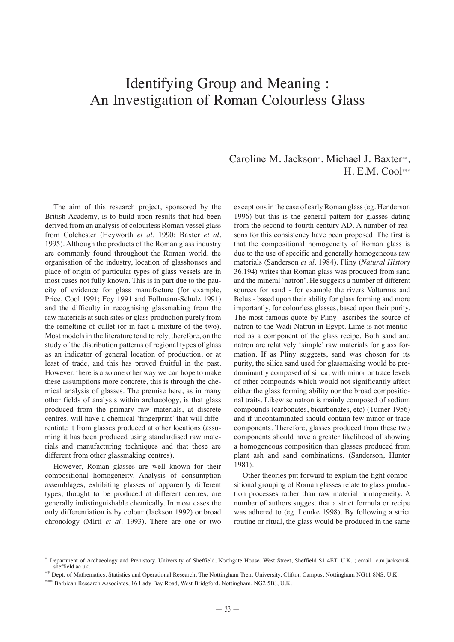# Identifying Group and Meaning : An Investigation of Roman Colourless Glass

## Caroline M. Jackson\*, Michael J. Baxter\*\*, H. E.M. Cool\*\*\*

The aim of this research project, sponsored by the British Academy, is to build upon results that had been derived from an analysis of colourless Roman vessel glass from Colchester (Heyworth *et al.* 1990; Baxter *et al.*  1995). Although the products of the Roman glass industry are commonly found throughout the Roman world, the organisation of the industry, location of glasshouses and place of origin of particular types of glass vessels are in most cases not fully known. This is in part due to the paucity of evidence for glass manufacture (for example, Price, Cool 1991; Foy 1991 and Follmann-Schulz 1991) and the difficulty in recognising glassmaking from the raw materials at such sites or glass production purely from the remelting of cullet (or in fact a mixture of the two). Most models in the literature tend to rely, therefore, on the study of the distribution patterns of regional types of glass as an indicator of general location of production, or at least of trade, and this has proved fruitful in the past. However, there is also one other way we can hope to make these assumptions more concrete, this is through the chemical analysis of glasses. The premise here, as in many other fields of analysis within archaeology, is that glass produced from the primary raw materials, at discrete centres, will have a chemical 'fingerprint' that will differentiate it from glasses produced at other locations (assuming it has been produced using standardised raw materials and manufacturing techniques and that these are different from other glassmaking centres).

However, Roman glasses are well known for their compositional homogeneity. Analysis of consumption assemblages, exhibiting glasses of apparently different types, thought to be produced at different centres, are generally indistinguishable chemically. In most cases the only differentiation is by colour (Jackson 1992) or broad chronology (Mirti *et al.* 1993). There are one or two

exceptions in the case of early Roman glass (eg. Henderson 1996) but this is the general pattern for glasses dating from the second to fourth century AD. A number of reasons for this consistency have been proposed. The first is that the compositional homogeneity of Roman glass is due to the use of specific and generally homogeneous raw materials (Sanderson *et al.* 1984). Pliny (*Natural History* 36.194) writes that Roman glass was produced from sand and the mineral 'natron'. He suggests a number of different sources for sand - for example the rivers Volturnus and Belus - based upon their ability for glass forming and more importantly, for colourless glasses, based upon their purity. The most famous quote by Pliny ascribes the source of natron to the Wadi Natrun in Egypt. Lime is not mentioned as a component of the glass recipe. Both sand and natron are relatively 'simple' raw materials for glass formation. If as Pliny suggests, sand was chosen for its purity, the silica sand used for glassmaking would be predominantly composed of silica, with minor or trace levels of other compounds which would not significantly affect either the glass forming ability nor the broad compositional traits. Likewise natron is mainly composed of sodium compounds (carbonates, bicarbonates, etc) (Turner 1956) and if uncontaminated should contain few minor or trace components. Therefore, glasses produced from these two components should have a greater likelihood of showing a homogeneous composition than glasses produced from plant ash and sand combinations. (Sanderson, Hunter 1981).

Other theories put forward to explain the tight compositional grouping of Roman glasses relate to glass production processes rather than raw material homogeneity. A number of authors suggest that a strict formula or recipe was adhered to (eg. Lemke 1998). By following a strict routine or ritual, the glass would be produced in the same

<sup>\*</sup> Department of Archaeology and Prehistory, University of Sheffield, Northgate House, West Street, Sheffield S1 4ET, U.K. ; email c.m.jackson@ sheffield.ac.uk.

<sup>\*\*</sup> Dept. of Mathematics, Statistics and Operational Research, The Nottingham Trent University, Clifton Campus, Nottingham NG11 8NS, U.K.

<sup>\*\*\*</sup> Barbican Research Associates, 16 Lady Bay Road, West Bridgford, Nottingham, NG2 5BJ, U.K.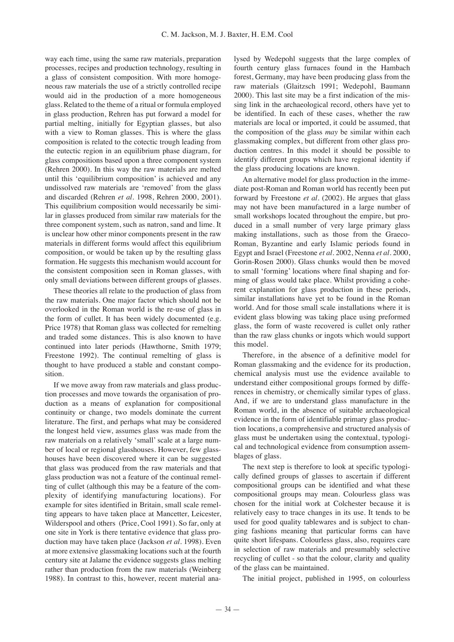way each time, using the same raw materials, preparation processes, recipes and production technology, resulting in a glass of consistent composition. With more homogeneous raw materials the use of a strictly controlled recipe would aid in the production of a more homogeneous glass. Related to the theme of a ritual or formula employed in glass production, Rehren has put forward a model for partial melting, initially for Egyptian glasses, but also with a view to Roman glasses. This is where the glass composition is related to the cotectic trough leading from the eutectic region in an equilibrium phase diagram, for glass compositions based upon a three component system (Rehren 2000). In this way the raw materials are melted until this 'equilibrium composition' is achieved and any undissolved raw materials are 'removed' from the glass and discarded (Rehren *et al.* 1998, Rehren 2000, 2001). This equilibrium composition would necessarily be similar in glasses produced from similar raw materials for the three component system, such as natron, sand and lime. It is unclear how other minor components present in the raw materials in different forms would affect this equilibrium composition, or would be taken up by the resulting glass formation. He suggests this mechanism would account for the consistent composition seen in Roman glasses, with only small deviations between different groups of glasses.

These theories all relate to the production of glass from the raw materials. One major factor which should not be overlooked in the Roman world is the re-use of glass in the form of cullet. It has been widely documented (e.g. Price 1978) that Roman glass was collected for remelting and traded some distances. This is also known to have continued into later periods (Hawthorne, Smith 1979; Freestone 1992). The continual remelting of glass is thought to have produced a stable and constant composition.

If we move away from raw materials and glass production processes and move towards the organisation of production as a means of explanation for compositional continuity or change, two models dominate the current literature. The first, and perhaps what may be considered the longest held view, assumes glass was made from the raw materials on a relatively 'small' scale at a large number of local or regional glasshouses. However, few glasshouses have been discovered where it can be suggested that glass was produced from the raw materials and that glass production was not a feature of the continual remelting of cullet (although this may be a feature of the complexity of identifying manufacturing locations). For example for sites identified in Britain, small scale remelting appears to have taken place at Mancetter, Leicester, Wilderspool and others (Price, Cool 1991). So far, only at one site in York is there tentative evidence that glass production may have taken place (Jackson *et al.* 1998). Even at more extensive glassmaking locations such at the fourth century site at Jalame the evidence suggests glass melting rather than production from the raw materials (Weinberg 1988). In contrast to this, however, recent material ana-

lysed by Wedepohl suggests that the large complex of fourth century glass furnaces found in the Hambach forest, Germany, may have been producing glass from the raw materials (Glaitzsch 1991; Wedepohl, Baumann 2000). This last site may be a first indication of the missing link in the archaeological record, others have yet to be identified. In each of these cases, whether the raw materials are local or imported, it could be assumed, that the composition of the glass *may* be similar within each glassmaking complex, but different from other glass production centres. In this model it should be possible to identify different groups which have regional identity if the glass producing locations are known.

An alternative model for glass production in the immediate post-Roman and Roman world has recently been put forward by Freestone *et al.* (2002). He argues that glass may not have been manufactured in a large number of small workshops located throughout the empire, but produced in a small number of very large primary glass making installations, such as those from the Graeco-Roman, Byzantine and early Islamic periods found in Egypt and Israel (Freestone *et al.* 2002, Nenna *et al.* 2000, Gorin-Rosen 2000). Glass chunks would then be moved to small 'forming' locations where final shaping and forming of glass would take place. Whilst providing a coherent explanation for glass production in these periods, similar installations have yet to be found in the Roman world. And for those small scale installations where it is evident glass blowing was taking place using preformed glass, the form of waste recovered is cullet only rather than the raw glass chunks or ingots which would support this model.

Therefore, in the absence of a definitive model for Roman glassmaking and the evidence for its production, chemical analysis must use the evidence available to understand either compositional groups formed by differences in chemistry, or chemically similar types of glass. And, if we are to understand glass manufacture in the Roman world, in the absence of suitable archaeological evidence in the form of identifiable primary glass production locations, a comprehensive and structured analysis of glass must be undertaken using the contextual, typological and technological evidence from consumption assemblages of glass.

The next step is therefore to look at specific typologically defined groups of glasses to ascertain if different compositional groups can be identified and what these compositional groups may mean. Colourless glass was chosen for the initial work at Colchester because it is relatively easy to trace changes in its use. It tends to be used for good quality tablewares and is subject to changing fashions meaning that particular forms can have quite short lifespans. Colourless glass, also, requires care in selection of raw materials and presumably selective recycling of cullet - so that the colour, clarity and quality of the glass can be maintained.

The initial project, published in 1995, on colourless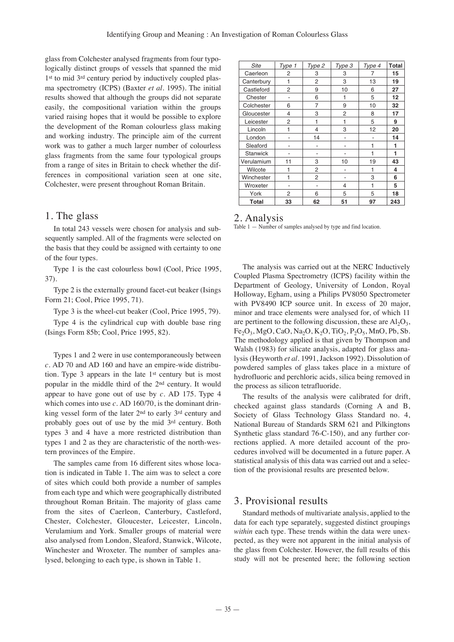glass from Colchester analysed fragments from four typologically distinct groups of vessels that spanned the mid 1<sup>st</sup> to mid 3<sup>rd</sup> century period by inductively coupled plasma spectrometry (ICPS) (Baxter *et al.* 1995). The initial results showed that although the groups did not separate easily, the compositional variation within the groups varied raising hopes that it would be possible to explore the development of the Roman colourless glass making and working industry. The principle aim of the current work was to gather a much larger number of colourless glass fragments from the same four typological groups from a range of sites in Britain to check whether the differences in compositional variation seen at one site, Colchester, were present throughout Roman Britain.

#### 1. The glass

In total 243 vessels were chosen for analysis and subsequently sampled. All of the fragments were selected on the basis that they could be assigned with certainty to one of the four types.

Type 1 is the cast colourless bowl (Cool, Price 1995, 37).

Type 2 is the externally ground facet-cut beaker (Isings Form 21; Cool, Price 1995, 71).

Type 3 is the wheel-cut beaker (Cool, Price 1995, 79).

Type 4 is the cylindrical cup with double base ring (Isings Form 85b; Cool, Price 1995, 82).

Types 1 and 2 were in use contemporaneously between *c.* AD 70 and AD 160 and have an empire-wide distribution. Type 3 appears in the late 1st century but is most popular in the middle third of the 2nd century. It would appear to have gone out of use by *c.* AD 175. Type 4 which comes into use  $c$ . AD 160/70, is the dominant drinking vessel form of the later 2nd to early 3rd century and probably goes out of use by the mid 3rd century. Both types 3 and 4 have a more restricted distribution than types 1 and 2 as they are characteristic of the north-western provinces of the Empire.

The samples came from 16 different sites whose location is indicated in Table 1. The aim was to select a core of sites which could both provide a number of samples from each type and which were geographically distributed throughout Roman Britain. The majority of glass came from the sites of Caerleon, Canterbury, Castleford, Chester, Colchester, Gloucester, Leicester, Lincoln, Verulamium and York. Smaller groups of material were also analysed from London, Sleaford, Stanwick, Wilcote, Winchester and Wroxeter. The number of samples analysed, belonging to each type, is shown in Table 1.

| Site            | Type 1         | Type 2         | Type 3 | Type 4 | <b>Total</b> |
|-----------------|----------------|----------------|--------|--------|--------------|
| Caerleon        | 2              | 3              | 3      | 7      | 15           |
| Canterbury      | 1              | 2              | 3      | 13     | 19           |
| Castleford      | 2              | 9              | 10     | 6      | 27           |
| Chester         | $\overline{a}$ | 6              | 1      | 5      | 12           |
| Colchester      | 6              | 7              | 9      | 10     | 32           |
| Gloucester      | 4              | 3              | 2      | 8      | 17           |
| Leicester       | 2              | 1              | 1      | 5      | 9            |
| Lincoln         | 1              | 4              | 3      | 12     | 20           |
| London          |                | 14             |        |        | 14           |
| Sleaford        |                |                | -      | 1      | 1            |
| <b>Stanwick</b> |                |                |        | 1      | 1            |
| Verulamium      | 11             | 3              | 10     | 19     | 43           |
| Wilcote         | 1              | 2              |        | 1      | 4            |
| Winchester      | 1              | $\overline{2}$ |        | 3      | 6            |
| Wroxeter        |                |                | 4      | 1      | 5            |
| York            | 2              | 6              | 5      | 5      | 18           |
| <b>Total</b>    | 33             | 62             | 51     | 97     | 243          |

## 2. Analysis

Table 1 — Number of samples analysed by type and find location.

The analysis was carried out at the NERC Inductively Coupled Plasma Spectrometry (ICPS) facility within the Department of Geology, University of London, Royal Holloway, Egham, using a Philips PV8050 Spectrometer with PV8490 ICP source unit. In excess of 20 major, minor and trace elements were analysed for, of which 11 are pertinent to the following discussion, these are  $Al_2O_3$ ,  $Fe_2O_3$ , MgO, CaO, Na<sub>2</sub>O, K<sub>2</sub>O, TiO<sub>2</sub>, P<sub>2</sub>O<sub>5</sub>, MnO, Pb, Sb. The methodology applied is that given by Thompson and Walsh (1983) for silicate analysis, adapted for glass analysis (Heyworth *et al.* 1991, Jackson 1992). Dissolution of powdered samples of glass takes place in a mixture of hydrofluoric and perchloric acids, silica being removed in the process as silicon tetrafluoride.

The results of the analysis were calibrated for drift, checked against glass standards (Corning A and B, Society of Glass Technology Glass Standard no. 4, National Bureau of Standards SRM 621 and Pilkingtons Synthetic glass standard 76-C-150), and any further corrections applied. A more detailed account of the procedures involved will be documented in a future paper. A statistical analysis of this data was carried out and a selection of the provisional results are presented below.

#### 3. Provisional results

Standard methods of multivariate analysis, applied to the data for each type separately, suggested distinct groupings *within* each type. These trends within the data were unexpected, as they were not apparent in the initial analysis of the glass from Colchester. However, the full results of this study will not be presented here; the following section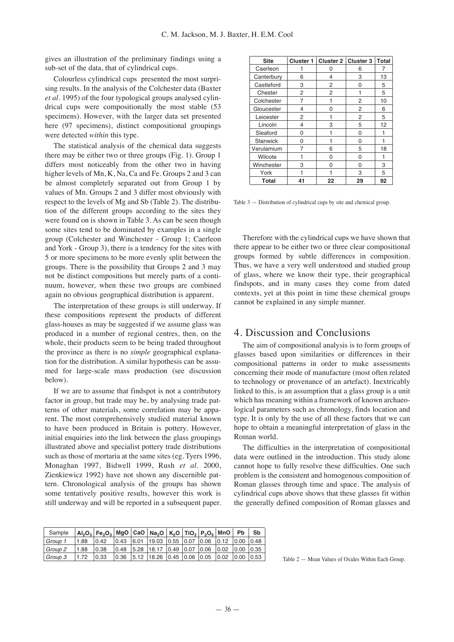gives an illustration of the preliminary findings using a sub-set of the data, that of cylindrical cups.

Colourless cylindrical cups presented the most surprising results. In the analysis of the Colchester data (Baxter *et al.* 1995) of the four typological groups analysed cylindrical cups were compositionally the most stable (53 specimens). However, with the larger data set presented here (97 specimens), distinct compositional groupings were detected *within* this type.

The statistical analysis of the chemical data suggests there may be either two or three groups (Fig. 1). Group 1 differs most noticeably from the other two in having higher levels of Mn, K, Na, Ca and Fe. Groups 2 and 3 can be almost completely separated out from Group 1 by values of Mn. Groups 2 and 3 differ most obviously with respect to the levels of Mg and Sb (Table 2). The distribution of the different groups according to the sites they were found on is shown in Table 3. As can be seen though some sites tend to be dominated by examples in a single group (Colchester and Winchester - Group 1; Caerleon and York - Group 3), there is a tendency for the sites with 5 or more specimens to be more evenly split between the groups. There is the possibility that Groups 2 and 3 may not be distinct compositions but merely parts of a continuum, however, when these two groups are combined again no obvious geographical distribution is apparent.

The interpretation of these groups is still underway. If these compositions represent the products of different glass-houses as may be suggested if we assume glass was produced in a number of regional centres, then, on the whole, their products seem to be being traded throughout the province as there is no *simple* geographical explanation for the distribution. A similar hypothesis can be assumed for large-scale mass production (see discussion below).

If we are to assume that findspot is not a contributory factor in group, but trade may be, by analysing trade patterns of other materials, some correlation may be apparent. The most comprehensively studied material known to have been produced in Britain is pottery. However, initial enquiries into the link between the glass groupings illustrated above and specialist pottery trade distributions such as those of mortaria at the same sites (eg. Tyers 1996, Monaghan 1997, Bidwell 1999, Rush *et al.* 2000, Zienkiewicz 1992) have not shown any discernible pattern. Chronological analysis of the groups has shown some tentatively positive results, however this work is still underway and will be reported in a subsequent paper.

| <b>Site</b>     | <b>Cluster 1</b> | <b>Cluster 2</b> | <b>Cluster 3</b> | <b>Total</b> |  |
|-----------------|------------------|------------------|------------------|--------------|--|
| Caerleon        |                  | 0                | 6                | 7            |  |
| Canterbury      | 6                | 4                | 3                | 13           |  |
| Castleford      | 3                | 2                | ი                | 5            |  |
| Chester         | 2                | 2                |                  | 5            |  |
| Colchester      | 7                | 1                | 2                | 10           |  |
| Gloucester      | 4                | 0                | 2                | 6            |  |
| Leicester       | 2                |                  | 2                | 5            |  |
| Lincoln         | 4                | 3                | 5                | 12           |  |
| Sleaford        | ი                |                  | ი                |              |  |
| <b>Stanwick</b> | ი                |                  | ი                |              |  |
| Verulamium      | 7                | 6                | 5                | 18           |  |
| Wilcote         |                  | 0                | ი                | 1            |  |
| Winchester      | 3                | 0                | 0                | 3            |  |
| York            |                  |                  | 3                | 5            |  |
| Total           | 41               | 22               | 29               | 92           |  |

Table 3 — Distribution of cylindrical cups by site and chemical group.

Therefore with the cylindrical cups we have shown that there appear to be either two or three clear compositional groups formed by subtle differences in composition. Thus, we have a very well understood and studied group of glass, where we know their type, their geographical findspots, and in many cases they come from dated contexts, yet at this point in time these chemical groups cannot be explained in any simple manner.

### 4. Discussion and Conclusions

The aim of compositional analysis is to form groups of glasses based upon similarities or differences in their compositional patterns in order to make assessments concerning their mode of manufacture (most often related to technology or provenance of an artefact). Inextricably linked to this, is an assumption that a glass group is a unit which has meaning within a framework of known archaeological parameters such as chronology, finds location and type. It is only by the use of all these factors that we can hope to obtain a meaningful interpretation of glass in the Roman world.

The difficulties in the interpretation of compositional data were outlined in the introduction. This study alone cannot hope to fully resolve these difficulties. One such problem is the consistent and homogenous composition of Roman glasses through time and space. The analysis of cylindrical cups above shows that these glasses fit within the generally defined composition of Roman glasses and

| Sample    |      | $\vert$ Al $_2$ O $_3\vert$ Fe $_2$ O $_3\vert$ MgO $\vert$ CaO $\vert$ Na $_2$ O $\vert$ K $_2$ O $\vert$ TiO $_2\vert$ P $_2$ O $_5\vert$ MnO $\vert$ Pb $\vert$ |  |                                                                                                             |  |  | Sb |
|-----------|------|--------------------------------------------------------------------------------------------------------------------------------------------------------------------|--|-------------------------------------------------------------------------------------------------------------|--|--|----|
| Group 1   | 1.88 | $\vert 0.42 \vert$                                                                                                                                                 |  | $\vert 0.43 \vert 6.01 \vert 19.03 \vert 0.55 \vert 0.07 \vert 0.06 \vert 0.12 \vert 0.00 \vert 0.48 \vert$ |  |  |    |
| Group 2   | 1.88 | 0.38                                                                                                                                                               |  | $\vert 0.48 \vert 5.28 \vert 18.17 \vert 0.49 \vert 0.07 \vert 0.06 \vert 0.02 \vert 0.00 \vert 0.35 \vert$ |  |  |    |
| l Group 3 | 1.72 | 0.33                                                                                                                                                               |  | $\vert 0.36 \vert 5.12 \vert 18.26 \vert 0.45 \vert 0.06 \vert 0.05 \vert 0.02 \vert 0.00 \vert 0.53 \vert$ |  |  |    |

Table 2 - Mean Values of Oxides Within Each Group.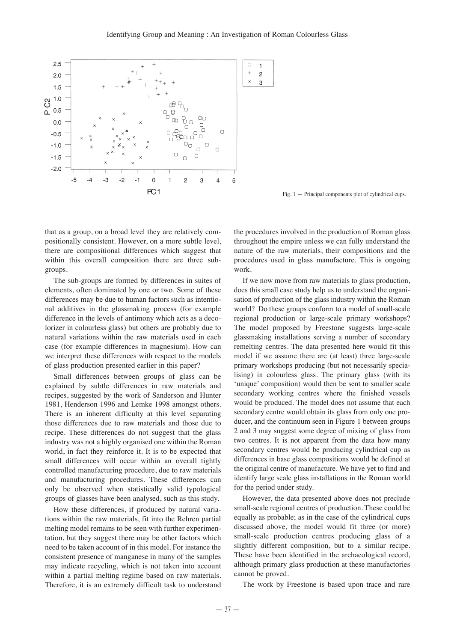

Fig. 1 — Principal components plot of cylindrical cups.

that as a group, on a broad level they are relatively compositionally consistent. However, on a more subtle level, there are compositional differences which suggest that within this overall composition there are three subgroups.

The sub-groups are formed by differences in suites of elements, often dominated by one or two. Some of these differences may be due to human factors such as intentional additives in the glassmaking process (for example difference in the levels of antimony which acts as a decolorizer in colourless glass) but others are probably due to natural variations within the raw materials used in each case (for example differences in magnesium). How can we interpret these differences with respect to the models of glass production presented earlier in this paper?

Small differences between groups of glass can be explained by subtle differences in raw materials and recipes, suggested by the work of Sanderson and Hunter 1981, Henderson 1996 and Lemke 1998 amongst others. There is an inherent difficulty at this level separating those differences due to raw materials and those due to recipe. These differences do not suggest that the glass industry was not a highly organised one within the Roman world, in fact they reinforce it. It is to be expected that small differences will occur within an overall tightly controlled manufacturing procedure, due to raw materials and manufacturing procedures. These differences can only be observed when statistically valid typological groups of glasses have been analysed, such as this study.

How these differences, if produced by natural variations within the raw materials, fit into the Rehren partial melting model remains to be seen with further experimentation, but they suggest there may be other factors which need to be taken account of in this model. For instance the consistent presence of manganese in many of the samples may indicate recycling, which is not taken into account within a partial melting regime based on raw materials. Therefore, it is an extremely difficult task to understand

the procedures involved in the production of Roman glass throughout the empire unless we can fully understand the nature of the raw materials, their compositions and the procedures used in glass manufacture. This is ongoing work.

If we now move from raw materials to glass production, does this small case study help us to understand the organisation of production of the glass industry within the Roman world? Do these groups conform to a model of small-scale regional production or large-scale primary workshops? The model proposed by Freestone suggests large-scale glassmaking installations serving a number of secondary remelting centres. The data presented here would fit this model if we assume there are (at least) three large-scale primary workshops producing (but not necessarily specialising) in colourless glass. The primary glass (with its 'unique' composition) would then be sent to smaller scale secondary working centres where the finished vessels would be produced. The model does not assume that each secondary centre would obtain its glass from only one producer, and the continuum seen in Figure 1 between groups 2 and 3 may suggest some degree of mixing of glass from two centres. It is not apparent from the data how many secondary centres would be producing cylindrical cup as differences in base glass compositions would be defined at the original centre of manufacture. We have yet to find and identify large scale glass installations in the Roman world for the period under study.

However, the data presented above does not preclude small-scale regional centres of production. These could be equally as probable; as in the case of the cylindrical cups discussed above, the model would fit three (or more) small-scale production centres producing glass of a slightly different composition, but to a similar recipe. These have been identified in the archaeological record, although primary glass production at these manufactories cannot be proved.

The work by Freestone is based upon trace and rare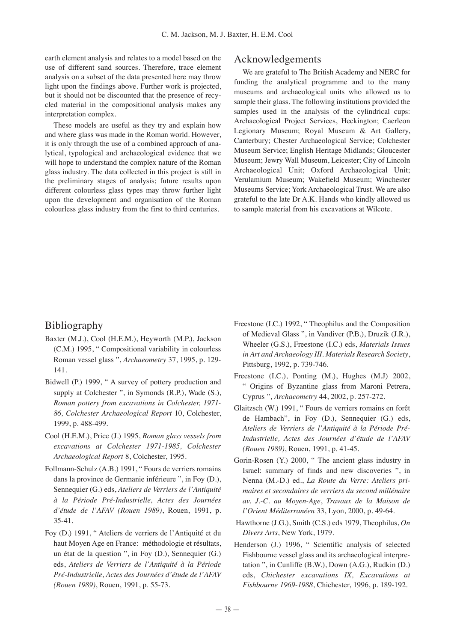earth element analysis and relates to a model based on the use of different sand sources. Therefore, trace element analysis on a subset of the data presented here may throw light upon the findings above. Further work is projected, but it should not be discounted that the presence of recycled material in the compositional analysis makes any interpretation complex.

These models are useful as they try and explain how and where glass was made in the Roman world. However, it is only through the use of a combined approach of analytical, typological and archaeological evidence that we will hope to understand the complex nature of the Roman glass industry. The data collected in this project is still in the preliminary stages of analysis; future results upon different colourless glass types may throw further light upon the development and organisation of the Roman colourless glass industry from the first to third centuries.

#### Acknowledgements

We are grateful to The British Academy and NERC for funding the analytical programme and to the many museums and archaeological units who allowed us to sample their glass. The following institutions provided the samples used in the analysis of the cylindrical cups: Archaeological Project Services, Heckington; Caerleon Legionary Museum; Royal Museum & Art Gallery, Canterbury; Chester Archaeological Service; Colchester Museum Service; English Heritage Midlands; Gloucester Museum; Jewry Wall Museum, Leicester; City of Lincoln Archaeological Unit; Oxford Archaeological Unit; Verulamium Museum; Wakefield Museum; Winchester Museums Service; York Archaeological Trust. We are also grateful to the late Dr A.K. Hands who kindly allowed us to sample material from his excavations at Wilcote.

### Bibliography

- Baxter (M.J.), Cool (H.E.M.), Heyworth (M.P.), Jackson (C.M.) 1995, " Compositional variability in colourless Roman vessel glass ", *Archaeometry* 37, 1995, p. 129- 141.
- Bidwell (P.) 1999, " A survey of pottery production and supply at Colchester ", in Symonds (R.P.), Wade (S.), *Roman pottery from excavations in Colchester, 1971- 86, Colchester Archaeological Report* 10, Colchester, 1999, p. 488-499.
- Cool (H.E.M.), Price (J.) 1995, *Roman glass vessels from excavations at Colchester 1971-1985, Colchester Archaeological Report* 8, Colchester, 1995.
- Follmann-Schulz (A.B.) 1991, " Fours de verriers romains dans la province de Germanie inférieure ", in Foy (D.), Sennequier (G.) eds, *Ateliers de Verriers de l'Antiquité à la Période Pré-Industrielle, Actes des Journées d'étude de l'AFAV (Rouen 1989)*, Rouen, 1991, p. 35-41.
- Foy (D.) 1991, " Ateliers de verriers de l'Antiquité et du haut Moyen Age en France: méthodologie et résultats, un état de la question ", in Foy (D.), Sennequier (G.) eds, *Ateliers de Verriers de l'Antiquité à la Période Pré-Industrielle, Actes des Journées d'étude de l'AFAV (Rouen 1989)*, Rouen, 1991, p. 55-73.
- Freestone (I.C.) 1992, " Theophilus and the Composition of Medieval Glass ", in Vandiver (P.B.), Druzik (J.R.), Wheeler (G.S.), Freestone (I.C.) eds, *Materials Issues in Art and Archaeology III. Materials Research Society*, Pittsburg, 1992, p. 739-746.
- Freestone (I.C.), Ponting (M.), Hughes (M.J) 2002, " Origins of Byzantine glass from Maroni Petrera, Cyprus ", *Archaeometry* 44, 2002, p. 257-272.
- Glaitzsch (W.) 1991, " Fours de verriers romains en forêt de Hambach", in Foy (D.), Sennequier (G.) eds, *Ateliers de Verriers de l'Antiquité à la Période Pré-Industrielle, Actes des Journées d'étude de l'AFAV (Rouen 1989)*, Rouen, 1991, p. 41-45.
- Gorin-Rosen (Y.) 2000, " The ancient glass industry in Israel: summary of finds and new discoveries ", in Nenna (M.-D.) ed., *La Route du Verre: Ateliers primaires et secondaires de verriers du second millénaire av. J.-C. au Moyen-Age*, *Travaux de la Maison de l'Orient Méditerranéen* 33, Lyon, 2000, p. 49-64.
- Hawthorne (J.G.), Smith (C.S.) eds 1979, Theophilus, *On Divers Arts*, New York, 1979.
- Henderson (J.) 1996, " Scientific analysis of selected Fishbourne vessel glass and its archaeological interpretation ", in Cunliffe (B.W.), Down (A.G.), Rudkin (D.) eds, *Chichester excavations IX, Excavations at Fishbourne 1969-1988*, Chichester, 1996, p. 189-192.